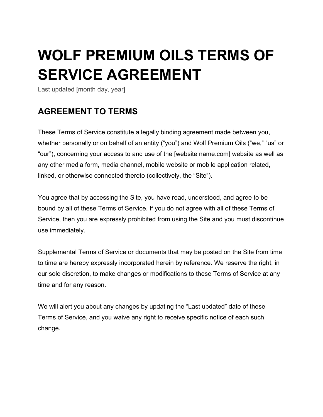# **WOLF PREMIUM OILS TERMS OF SERVICE AGREEMENT**

Last updated [month day, year]

### **AGREEMENT TO TERMS**

These Terms of Service constitute a legally binding agreement made between you, whether personally or on behalf of an entity ("you") and Wolf Premium Oils ("we," "us" or "our"), concerning your access to and use of the [website name.com] website as well as any other media form, media channel, mobile website or mobile application related, linked, or otherwise connected thereto (collectively, the "Site").

You agree that by accessing the Site, you have read, understood, and agree to be bound by all of these Terms of Service. If you do not agree with all of these Terms of Service, then you are expressly prohibited from using the Site and you must discontinue use immediately.

Supplemental Terms of Service or documents that may be posted on the Site from time to time are hereby expressly incorporated herein by reference. We reserve the right, in our sole discretion, to make changes or modifications to these Terms of Service at any time and for any reason.

We will alert you about any changes by updating the "Last updated" date of these Terms of Service, and you waive any right to receive specific notice of each such change.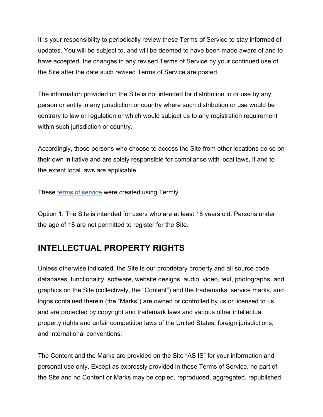It is your responsibility to periodically review these Terms of Service to stay informed of updates. You will be subject to, and will be deemed to have been made aware of and to have accepted, the changes in any revised Terms of Service by your continued use of the Site after the date such revised Terms of Service are posted.

The information provided on the Site is not intended for distribution to or use by any person or entity in any jurisdiction or country where such distribution or use would be contrary to law or regulation or which would subject us to any registration requirement within such jurisdiction or country.

Accordingly, those persons who choose to access the Site from other locations do so on their own initiative and are solely responsible for compliance with local laws, if and to the extent local laws are applicable.

These terms of service were created using Termly.

Option 1: The Site is intended for users who are at least 18 years old. Persons under the age of 18 are not permitted to register for the Site.

#### **INTELLECTUAL PROPERTY RIGHTS**

Unless otherwise indicated, the Site is our proprietary property and all source code, databases, functionality, software, website designs, audio, video, text, photographs, and graphics on the Site (collectively, the "Content") and the trademarks, service marks, and logos contained therein (the "Marks") are owned or controlled by us or licensed to us, and are protected by copyright and trademark laws and various other intellectual property rights and unfair competition laws of the United States, foreign jurisdictions, and international conventions.

The Content and the Marks are provided on the Site "AS IS" for your information and personal use only. Except as expressly provided in these Terms of Service, no part of the Site and no Content or Marks may be copied, reproduced, aggregated, republished,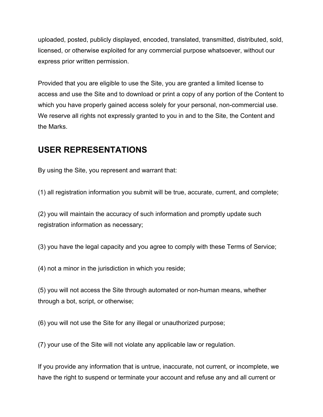uploaded, posted, publicly displayed, encoded, translated, transmitted, distributed, sold, licensed, or otherwise exploited for any commercial purpose whatsoever, without our express prior written permission.

Provided that you are eligible to use the Site, you are granted a limited license to access and use the Site and to download or print a copy of any portion of the Content to which you have properly gained access solely for your personal, non-commercial use. We reserve all rights not expressly granted to you in and to the Site, the Content and the Marks.

#### **USER REPRESENTATIONS**

By using the Site, you represent and warrant that:

(1) all registration information you submit will be true, accurate, current, and complete;

(2) you will maintain the accuracy of such information and promptly update such registration information as necessary;

(3) you have the legal capacity and you agree to comply with these Terms of Service;

(4) not a minor in the jurisdiction in which you reside;

(5) you will not access the Site through automated or non-human means, whether through a bot, script, or otherwise;

(6) you will not use the Site for any illegal or unauthorized purpose;

(7) your use of the Site will not violate any applicable law or regulation.

If you provide any information that is untrue, inaccurate, not current, or incomplete, we have the right to suspend or terminate your account and refuse any and all current or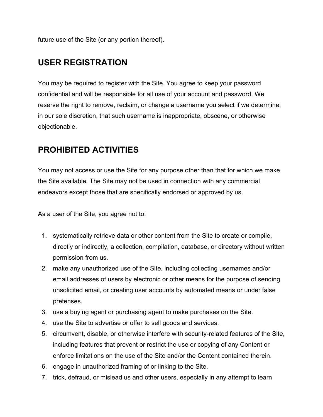future use of the Site (or any portion thereof).

#### **USER REGISTRATION**

You may be required to register with the Site. You agree to keep your password confidential and will be responsible for all use of your account and password. We reserve the right to remove, reclaim, or change a username you select if we determine, in our sole discretion, that such username is inappropriate, obscene, or otherwise objectionable.

#### **PROHIBITED ACTIVITIES**

You may not access or use the Site for any purpose other than that for which we make the Site available. The Site may not be used in connection with any commercial endeavors except those that are specifically endorsed or approved by us.

As a user of the Site, you agree not to:

- 1. systematically retrieve data or other content from the Site to create or compile, directly or indirectly, a collection, compilation, database, or directory without written permission from us.
- 2. make any unauthorized use of the Site, including collecting usernames and/or email addresses of users by electronic or other means for the purpose of sending unsolicited email, or creating user accounts by automated means or under false pretenses.
- 3. use a buying agent or purchasing agent to make purchases on the Site.
- 4. use the Site to advertise or offer to sell goods and services.
- 5. circumvent, disable, or otherwise interfere with security-related features of the Site, including features that prevent or restrict the use or copying of any Content or enforce limitations on the use of the Site and/or the Content contained therein.
- 6. engage in unauthorized framing of or linking to the Site.
- 7. trick, defraud, or mislead us and other users, especially in any attempt to learn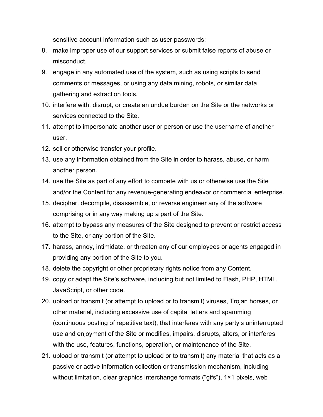sensitive account information such as user passwords;

- 8. make improper use of our support services or submit false reports of abuse or misconduct.
- 9. engage in any automated use of the system, such as using scripts to send comments or messages, or using any data mining, robots, or similar data gathering and extraction tools.
- 10. interfere with, disrupt, or create an undue burden on the Site or the networks or services connected to the Site.
- 11. attempt to impersonate another user or person or use the username of another user.
- 12. sell or otherwise transfer your profile.
- 13. use any information obtained from the Site in order to harass, abuse, or harm another person.
- 14. use the Site as part of any effort to compete with us or otherwise use the Site and/or the Content for any revenue-generating endeavor or commercial enterprise.
- 15. decipher, decompile, disassemble, or reverse engineer any of the software comprising or in any way making up a part of the Site.
- 16. attempt to bypass any measures of the Site designed to prevent or restrict access to the Site, or any portion of the Site.
- 17. harass, annoy, intimidate, or threaten any of our employees or agents engaged in providing any portion of the Site to you.
- 18. delete the copyright or other proprietary rights notice from any Content.
- 19. copy or adapt the Site's software, including but not limited to Flash, PHP, HTML, JavaScript, or other code.
- 20. upload or transmit (or attempt to upload or to transmit) viruses, Trojan horses, or other material, including excessive use of capital letters and spamming (continuous posting of repetitive text), that interferes with any party's uninterrupted use and enjoyment of the Site or modifies, impairs, disrupts, alters, or interferes with the use, features, functions, operation, or maintenance of the Site.
- 21. upload or transmit (or attempt to upload or to transmit) any material that acts as a passive or active information collection or transmission mechanism, including without limitation, clear graphics interchange formats ("gifs"), 1×1 pixels, web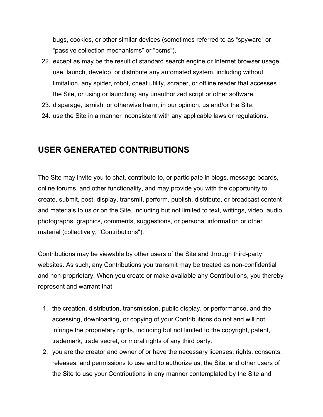bugs, cookies, or other similar devices (sometimes referred to as "spyware" or "passive collection mechanisms" or "pcms").

- 22. except as may be the result of standard search engine or Internet browser usage, use, launch, develop, or distribute any automated system, including without limitation, any spider, robot, cheat utility, scraper, or offline reader that accesses the Site, or using or launching any unauthorized script or other software.
- 23. disparage, tarnish, or otherwise harm, in our opinion, us and/or the Site.
- 24. use the Site in a manner inconsistent with any applicable laws or regulations.

#### **USER GENERATED CONTRIBUTIONS**

The Site may invite you to chat, contribute to, or participate in blogs, message boards, online forums, and other functionality, and may provide you with the opportunity to create, submit, post, display, transmit, perform, publish, distribute, or broadcast content and materials to us or on the Site, including but not limited to text, writings, video, audio, photographs, graphics, comments, suggestions, or personal information or other material (collectively, "Contributions").

Contributions may be viewable by other users of the Site and through third-party websites. As such, any Contributions you transmit may be treated as non-confidential and non-proprietary. When you create or make available any Contributions, you thereby represent and warrant that:

- 1. the creation, distribution, transmission, public display, or performance, and the accessing, downloading, or copying of your Contributions do not and will not infringe the proprietary rights, including but not limited to the copyright, patent, trademark, trade secret, or moral rights of any third party.
- 2. you are the creator and owner of or have the necessary licenses, rights, consents, releases, and permissions to use and to authorize us, the Site, and other users of the Site to use your Contributions in any manner contemplated by the Site and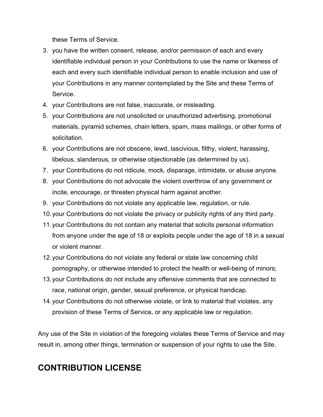these Terms of Service.

- 3. you have the written consent, release, and/or permission of each and every identifiable individual person in your Contributions to use the name or likeness of each and every such identifiable individual person to enable inclusion and use of your Contributions in any manner contemplated by the Site and these Terms of Service.
- 4. your Contributions are not false, inaccurate, or misleading.
- 5. your Contributions are not unsolicited or unauthorized advertising, promotional materials, pyramid schemes, chain letters, spam, mass mailings, or other forms of solicitation.
- 6. your Contributions are not obscene, lewd, lascivious, filthy, violent, harassing, libelous, slanderous, or otherwise objectionable (as determined by us).
- 7. your Contributions do not ridicule, mock, disparage, intimidate, or abuse anyone.
- 8. your Contributions do not advocate the violent overthrow of any government or incite, encourage, or threaten physical harm against another.
- 9. your Contributions do not violate any applicable law, regulation, or rule.
- 10.your Contributions do not violate the privacy or publicity rights of any third party.
- 11.your Contributions do not contain any material that solicits personal information from anyone under the age of 18 or exploits people under the age of 18 in a sexual or violent manner.
- 12.your Contributions do not violate any federal or state law concerning child pornography, or otherwise intended to protect the health or well-being of minors;
- 13.your Contributions do not include any offensive comments that are connected to race, national origin, gender, sexual preference, or physical handicap.
- 14.your Contributions do not otherwise violate, or link to material that violates, any provision of these Terms of Service, or any applicable law or regulation.

Any use of the Site in violation of the foregoing violates these Terms of Service and may result in, among other things, termination or suspension of your rights to use the Site.

### **CONTRIBUTION LICENSE**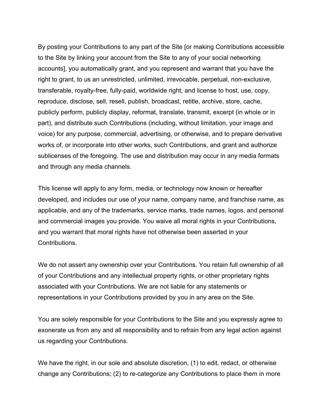By posting your Contributions to any part of the Site [or making Contributions accessible to the Site by linking your account from the Site to any of your social networking accounts], you automatically grant, and you represent and warrant that you have the right to grant, to us an unrestricted, unlimited, irrevocable, perpetual, non-exclusive, transferable, royalty-free, fully-paid, worldwide right, and license to host, use, copy, reproduce, disclose, sell, resell, publish, broadcast, retitle, archive, store, cache, publicly perform, publicly display, reformat, translate, transmit, excerpt (in whole or in part), and distribute such Contributions (including, without limitation, your image and voice) for any purpose, commercial, advertising, or otherwise, and to prepare derivative works of, or incorporate into other works, such Contributions, and grant and authorize sublicenses of the foregoing. The use and distribution may occur in any media formats and through any media channels.

This license will apply to any form, media, or technology now known or hereafter developed, and includes our use of your name, company name, and franchise name, as applicable, and any of the trademarks, service marks, trade names, logos, and personal and commercial images you provide. You waive all moral rights in your Contributions, and you warrant that moral rights have not otherwise been asserted in your Contributions.

We do not assert any ownership over your Contributions. You retain full ownership of all of your Contributions and any intellectual property rights, or other proprietary rights associated with your Contributions. We are not liable for any statements or representations in your Contributions provided by you in any area on the Site.

You are solely responsible for your Contributions to the Site and you expressly agree to exonerate us from any and all responsibility and to refrain from any legal action against us regarding your Contributions.

We have the right, in our sole and absolute discretion, (1) to edit, redact, or otherwise change any Contributions; (2) to re-categorize any Contributions to place them in more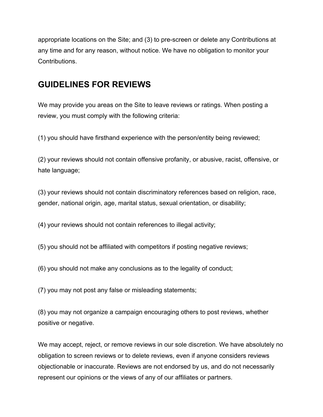appropriate locations on the Site; and (3) to pre-screen or delete any Contributions at any time and for any reason, without notice. We have no obligation to monitor your Contributions.

#### **GUIDELINES FOR REVIEWS**

We may provide you areas on the Site to leave reviews or ratings. When posting a review, you must comply with the following criteria:

(1) you should have firsthand experience with the person/entity being reviewed;

(2) your reviews should not contain offensive profanity, or abusive, racist, offensive, or hate language;

(3) your reviews should not contain discriminatory references based on religion, race, gender, national origin, age, marital status, sexual orientation, or disability;

(4) your reviews should not contain references to illegal activity;

(5) you should not be affiliated with competitors if posting negative reviews;

(6) you should not make any conclusions as to the legality of conduct;

(7) you may not post any false or misleading statements;

(8) you may not organize a campaign encouraging others to post reviews, whether positive or negative.

We may accept, reject, or remove reviews in our sole discretion. We have absolutely no obligation to screen reviews or to delete reviews, even if anyone considers reviews objectionable or inaccurate. Reviews are not endorsed by us, and do not necessarily represent our opinions or the views of any of our affiliates or partners.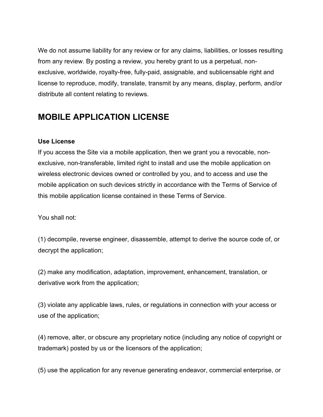We do not assume liability for any review or for any claims, liabilities, or losses resulting from any review. By posting a review, you hereby grant to us a perpetual, nonexclusive, worldwide, royalty-free, fully-paid, assignable, and sublicensable right and license to reproduce, modify, translate, transmit by any means, display, perform, and/or distribute all content relating to reviews.

#### **MOBILE APPLICATION LICENSE**

#### **Use License**

If you access the Site via a mobile application, then we grant you a revocable, nonexclusive, non-transferable, limited right to install and use the mobile application on wireless electronic devices owned or controlled by you, and to access and use the mobile application on such devices strictly in accordance with the Terms of Service of this mobile application license contained in these Terms of Service.

You shall not:

(1) decompile, reverse engineer, disassemble, attempt to derive the source code of, or decrypt the application;

(2) make any modification, adaptation, improvement, enhancement, translation, or derivative work from the application;

(3) violate any applicable laws, rules, or regulations in connection with your access or use of the application;

(4) remove, alter, or obscure any proprietary notice (including any notice of copyright or trademark) posted by us or the licensors of the application;

(5) use the application for any revenue generating endeavor, commercial enterprise, or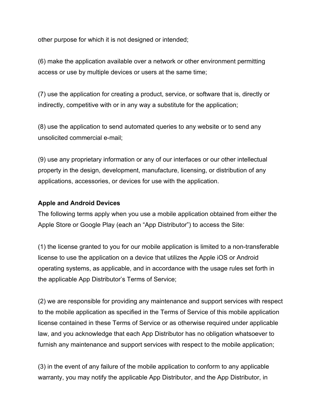other purpose for which it is not designed or intended;

(6) make the application available over a network or other environment permitting access or use by multiple devices or users at the same time;

(7) use the application for creating a product, service, or software that is, directly or indirectly, competitive with or in any way a substitute for the application;

(8) use the application to send automated queries to any website or to send any unsolicited commercial e-mail;

(9) use any proprietary information or any of our interfaces or our other intellectual property in the design, development, manufacture, licensing, or distribution of any applications, accessories, or devices for use with the application.

#### **Apple and Android Devices**

The following terms apply when you use a mobile application obtained from either the Apple Store or Google Play (each an "App Distributor") to access the Site:

(1) the license granted to you for our mobile application is limited to a non-transferable license to use the application on a device that utilizes the Apple iOS or Android operating systems, as applicable, and in accordance with the usage rules set forth in the applicable App Distributor's Terms of Service;

(2) we are responsible for providing any maintenance and support services with respect to the mobile application as specified in the Terms of Service of this mobile application license contained in these Terms of Service or as otherwise required under applicable law, and you acknowledge that each App Distributor has no obligation whatsoever to furnish any maintenance and support services with respect to the mobile application;

(3) in the event of any failure of the mobile application to conform to any applicable warranty, you may notify the applicable App Distributor, and the App Distributor, in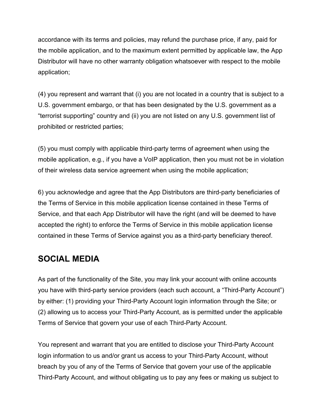accordance with its terms and policies, may refund the purchase price, if any, paid for the mobile application, and to the maximum extent permitted by applicable law, the App Distributor will have no other warranty obligation whatsoever with respect to the mobile application;

(4) you represent and warrant that (i) you are not located in a country that is subject to a U.S. government embargo, or that has been designated by the U.S. government as a "terrorist supporting" country and (ii) you are not listed on any U.S. government list of prohibited or restricted parties;

(5) you must comply with applicable third-party terms of agreement when using the mobile application, e.g., if you have a VoIP application, then you must not be in violation of their wireless data service agreement when using the mobile application;

6) you acknowledge and agree that the App Distributors are third-party beneficiaries of the Terms of Service in this mobile application license contained in these Terms of Service, and that each App Distributor will have the right (and will be deemed to have accepted the right) to enforce the Terms of Service in this mobile application license contained in these Terms of Service against you as a third-party beneficiary thereof.

### **SOCIAL MEDIA**

As part of the functionality of the Site, you may link your account with online accounts you have with third-party service providers (each such account, a "Third-Party Account") by either: (1) providing your Third-Party Account login information through the Site; or (2) allowing us to access your Third-Party Account, as is permitted under the applicable Terms of Service that govern your use of each Third-Party Account.

You represent and warrant that you are entitled to disclose your Third-Party Account login information to us and/or grant us access to your Third-Party Account, without breach by you of any of the Terms of Service that govern your use of the applicable Third-Party Account, and without obligating us to pay any fees or making us subject to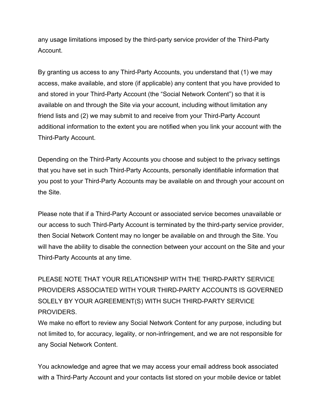any usage limitations imposed by the third-party service provider of the Third-Party **Account** 

By granting us access to any Third-Party Accounts, you understand that (1) we may access, make available, and store (if applicable) any content that you have provided to and stored in your Third-Party Account (the "Social Network Content") so that it is available on and through the Site via your account, including without limitation any friend lists and (2) we may submit to and receive from your Third-Party Account additional information to the extent you are notified when you link your account with the Third-Party Account.

Depending on the Third-Party Accounts you choose and subject to the privacy settings that you have set in such Third-Party Accounts, personally identifiable information that you post to your Third-Party Accounts may be available on and through your account on the Site.

Please note that if a Third-Party Account or associated service becomes unavailable or our access to such Third-Party Account is terminated by the third-party service provider, then Social Network Content may no longer be available on and through the Site. You will have the ability to disable the connection between your account on the Site and your Third-Party Accounts at any time.

PLEASE NOTE THAT YOUR RELATIONSHIP WITH THE THIRD-PARTY SERVICE PROVIDERS ASSOCIATED WITH YOUR THIRD-PARTY ACCOUNTS IS GOVERNED SOLELY BY YOUR AGREEMENT(S) WITH SUCH THIRD-PARTY SERVICE PROVIDERS.

We make no effort to review any Social Network Content for any purpose, including but not limited to, for accuracy, legality, or non-infringement, and we are not responsible for any Social Network Content.

You acknowledge and agree that we may access your email address book associated with a Third-Party Account and your contacts list stored on your mobile device or tablet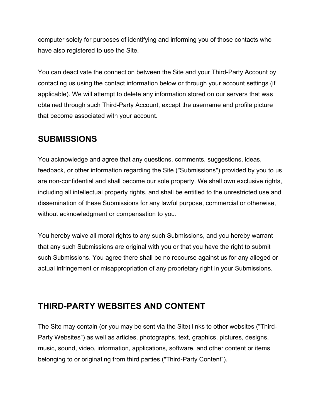computer solely for purposes of identifying and informing you of those contacts who have also registered to use the Site.

You can deactivate the connection between the Site and your Third-Party Account by contacting us using the contact information below or through your account settings (if applicable). We will attempt to delete any information stored on our servers that was obtained through such Third-Party Account, except the username and profile picture that become associated with your account.

### **SUBMISSIONS**

You acknowledge and agree that any questions, comments, suggestions, ideas, feedback, or other information regarding the Site ("Submissions") provided by you to us are non-confidential and shall become our sole property. We shall own exclusive rights, including all intellectual property rights, and shall be entitled to the unrestricted use and dissemination of these Submissions for any lawful purpose, commercial or otherwise, without acknowledgment or compensation to you.

You hereby waive all moral rights to any such Submissions, and you hereby warrant that any such Submissions are original with you or that you have the right to submit such Submissions. You agree there shall be no recourse against us for any alleged or actual infringement or misappropriation of any proprietary right in your Submissions.

### **THIRD-PARTY WEBSITES AND CONTENT**

The Site may contain (or you may be sent via the Site) links to other websites ("Third-Party Websites") as well as articles, photographs, text, graphics, pictures, designs, music, sound, video, information, applications, software, and other content or items belonging to or originating from third parties ("Third-Party Content").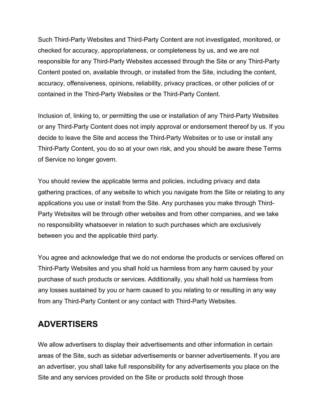Such Third-Party Websites and Third-Party Content are not investigated, monitored, or checked for accuracy, appropriateness, or completeness by us, and we are not responsible for any Third-Party Websites accessed through the Site or any Third-Party Content posted on, available through, or installed from the Site, including the content, accuracy, offensiveness, opinions, reliability, privacy practices, or other policies of or contained in the Third-Party Websites or the Third-Party Content.

Inclusion of, linking to, or permitting the use or installation of any Third-Party Websites or any Third-Party Content does not imply approval or endorsement thereof by us. If you decide to leave the Site and access the Third-Party Websites or to use or install any Third-Party Content, you do so at your own risk, and you should be aware these Terms of Service no longer govern.

You should review the applicable terms and policies, including privacy and data gathering practices, of any website to which you navigate from the Site or relating to any applications you use or install from the Site. Any purchases you make through Third-Party Websites will be through other websites and from other companies, and we take no responsibility whatsoever in relation to such purchases which are exclusively between you and the applicable third party.

You agree and acknowledge that we do not endorse the products or services offered on Third-Party Websites and you shall hold us harmless from any harm caused by your purchase of such products or services. Additionally, you shall hold us harmless from any losses sustained by you or harm caused to you relating to or resulting in any way from any Third-Party Content or any contact with Third-Party Websites.

#### **ADVERTISERS**

We allow advertisers to display their advertisements and other information in certain areas of the Site, such as sidebar advertisements or banner advertisements. If you are an advertiser, you shall take full responsibility for any advertisements you place on the Site and any services provided on the Site or products sold through those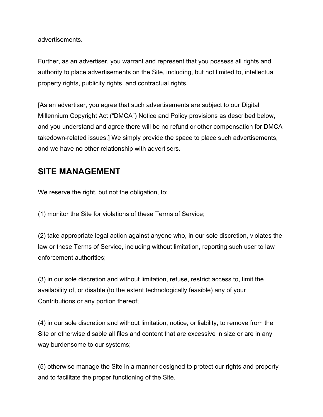advertisements.

Further, as an advertiser, you warrant and represent that you possess all rights and authority to place advertisements on the Site, including, but not limited to, intellectual property rights, publicity rights, and contractual rights.

[As an advertiser, you agree that such advertisements are subject to our Digital Millennium Copyright Act ("DMCA") Notice and Policy provisions as described below, and you understand and agree there will be no refund or other compensation for DMCA takedown-related issues.] We simply provide the space to place such advertisements, and we have no other relationship with advertisers.

#### **SITE MANAGEMENT**

We reserve the right, but not the obligation, to:

(1) monitor the Site for violations of these Terms of Service;

(2) take appropriate legal action against anyone who, in our sole discretion, violates the law or these Terms of Service, including without limitation, reporting such user to law enforcement authorities;

(3) in our sole discretion and without limitation, refuse, restrict access to, limit the availability of, or disable (to the extent technologically feasible) any of your Contributions or any portion thereof;

(4) in our sole discretion and without limitation, notice, or liability, to remove from the Site or otherwise disable all files and content that are excessive in size or are in any way burdensome to our systems;

(5) otherwise manage the Site in a manner designed to protect our rights and property and to facilitate the proper functioning of the Site.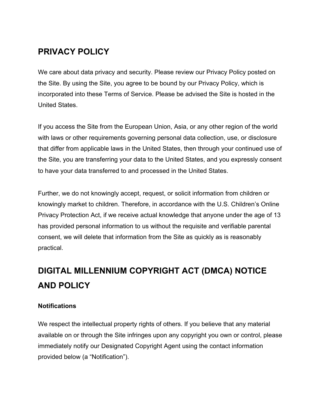### **PRIVACY POLICY**

We care about data privacy and security. Please review our Privacy Policy posted on the Site. By using the Site, you agree to be bound by our Privacy Policy, which is incorporated into these Terms of Service. Please be advised the Site is hosted in the United States.

If you access the Site from the European Union, Asia, or any other region of the world with laws or other requirements governing personal data collection, use, or disclosure that differ from applicable laws in the United States, then through your continued use of the Site, you are transferring your data to the United States, and you expressly consent to have your data transferred to and processed in the United States.

Further, we do not knowingly accept, request, or solicit information from children or knowingly market to children. Therefore, in accordance with the U.S. Children's Online Privacy Protection Act, if we receive actual knowledge that anyone under the age of 13 has provided personal information to us without the requisite and verifiable parental consent, we will delete that information from the Site as quickly as is reasonably practical.

# **DIGITAL MILLENNIUM COPYRIGHT ACT (DMCA) NOTICE AND POLICY**

#### **Notifications**

We respect the intellectual property rights of others. If you believe that any material available on or through the Site infringes upon any copyright you own or control, please immediately notify our Designated Copyright Agent using the contact information provided below (a "Notification").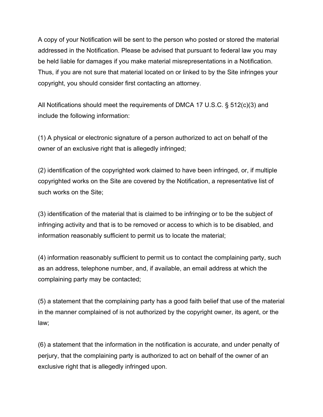A copy of your Notification will be sent to the person who posted or stored the material addressed in the Notification. Please be advised that pursuant to federal law you may be held liable for damages if you make material misrepresentations in a Notification. Thus, if you are not sure that material located on or linked to by the Site infringes your copyright, you should consider first contacting an attorney.

All Notifications should meet the requirements of DMCA 17 U.S.C. § 512(c)(3) and include the following information:

(1) A physical or electronic signature of a person authorized to act on behalf of the owner of an exclusive right that is allegedly infringed;

(2) identification of the copyrighted work claimed to have been infringed, or, if multiple copyrighted works on the Site are covered by the Notification, a representative list of such works on the Site;

(3) identification of the material that is claimed to be infringing or to be the subject of infringing activity and that is to be removed or access to which is to be disabled, and information reasonably sufficient to permit us to locate the material;

(4) information reasonably sufficient to permit us to contact the complaining party, such as an address, telephone number, and, if available, an email address at which the complaining party may be contacted;

(5) a statement that the complaining party has a good faith belief that use of the material in the manner complained of is not authorized by the copyright owner, its agent, or the law;

(6) a statement that the information in the notification is accurate, and under penalty of perjury, that the complaining party is authorized to act on behalf of the owner of an exclusive right that is allegedly infringed upon.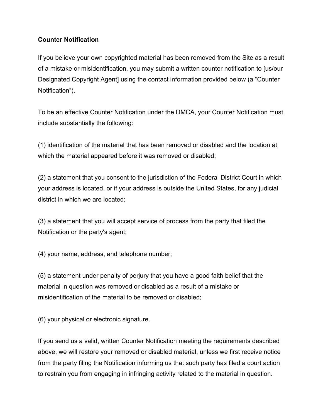#### **Counter Notification**

If you believe your own copyrighted material has been removed from the Site as a result of a mistake or misidentification, you may submit a written counter notification to [us/our Designated Copyright Agent] using the contact information provided below (a "Counter Notification").

To be an effective Counter Notification under the DMCA, your Counter Notification must include substantially the following:

(1) identification of the material that has been removed or disabled and the location at which the material appeared before it was removed or disabled;

(2) a statement that you consent to the jurisdiction of the Federal District Court in which your address is located, or if your address is outside the United States, for any judicial district in which we are located;

(3) a statement that you will accept service of process from the party that filed the Notification or the party's agent;

(4) your name, address, and telephone number;

(5) a statement under penalty of perjury that you have a good faith belief that the material in question was removed or disabled as a result of a mistake or misidentification of the material to be removed or disabled;

(6) your physical or electronic signature.

If you send us a valid, written Counter Notification meeting the requirements described above, we will restore your removed or disabled material, unless we first receive notice from the party filing the Notification informing us that such party has filed a court action to restrain you from engaging in infringing activity related to the material in question.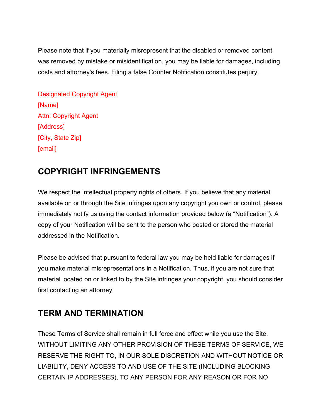Please note that if you materially misrepresent that the disabled or removed content was removed by mistake or misidentification, you may be liable for damages, including costs and attorney's fees. Filing a false Counter Notification constitutes perjury.

Designated Copyright Agent [Name] Attn: Copyright Agent [Address] [City, State Zip] [email]

### **COPYRIGHT INFRINGEMENTS**

We respect the intellectual property rights of others. If you believe that any material available on or through the Site infringes upon any copyright you own or control, please immediately notify us using the contact information provided below (a "Notification"). A copy of your Notification will be sent to the person who posted or stored the material addressed in the Notification.

Please be advised that pursuant to federal law you may be held liable for damages if you make material misrepresentations in a Notification. Thus, if you are not sure that material located on or linked to by the Site infringes your copyright, you should consider first contacting an attorney.

### **TERM AND TERMINATION**

These Terms of Service shall remain in full force and effect while you use the Site. WITHOUT LIMITING ANY OTHER PROVISION OF THESE TERMS OF SERVICE, WE RESERVE THE RIGHT TO, IN OUR SOLE DISCRETION AND WITHOUT NOTICE OR LIABILITY, DENY ACCESS TO AND USE OF THE SITE (INCLUDING BLOCKING CERTAIN IP ADDRESSES), TO ANY PERSON FOR ANY REASON OR FOR NO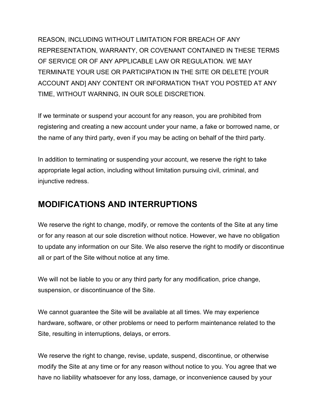REASON, INCLUDING WITHOUT LIMITATION FOR BREACH OF ANY REPRESENTATION, WARRANTY, OR COVENANT CONTAINED IN THESE TERMS OF SERVICE OR OF ANY APPLICABLE LAW OR REGULATION. WE MAY TERMINATE YOUR USE OR PARTICIPATION IN THE SITE OR DELETE [YOUR ACCOUNT AND] ANY CONTENT OR INFORMATION THAT YOU POSTED AT ANY TIME, WITHOUT WARNING, IN OUR SOLE DISCRETION.

If we terminate or suspend your account for any reason, you are prohibited from registering and creating a new account under your name, a fake or borrowed name, or the name of any third party, even if you may be acting on behalf of the third party.

In addition to terminating or suspending your account, we reserve the right to take appropriate legal action, including without limitation pursuing civil, criminal, and injunctive redress.

#### **MODIFICATIONS AND INTERRUPTIONS**

We reserve the right to change, modify, or remove the contents of the Site at any time or for any reason at our sole discretion without notice. However, we have no obligation to update any information on our Site. We also reserve the right to modify or discontinue all or part of the Site without notice at any time.

We will not be liable to you or any third party for any modification, price change, suspension, or discontinuance of the Site.

We cannot guarantee the Site will be available at all times. We may experience hardware, software, or other problems or need to perform maintenance related to the Site, resulting in interruptions, delays, or errors.

We reserve the right to change, revise, update, suspend, discontinue, or otherwise modify the Site at any time or for any reason without notice to you. You agree that we have no liability whatsoever for any loss, damage, or inconvenience caused by your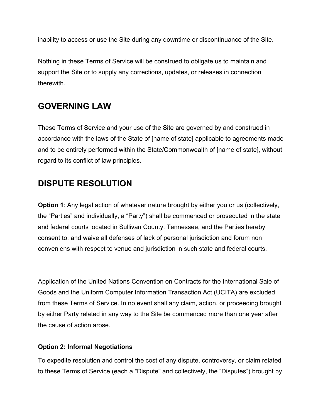inability to access or use the Site during any downtime or discontinuance of the Site.

Nothing in these Terms of Service will be construed to obligate us to maintain and support the Site or to supply any corrections, updates, or releases in connection therewith.

#### **GOVERNING LAW**

These Terms of Service and your use of the Site are governed by and construed in accordance with the laws of the State of [name of state] applicable to agreements made and to be entirely performed within the State/Commonwealth of [name of state], without regard to its conflict of law principles.

### **DISPUTE RESOLUTION**

**Option 1**: Any legal action of whatever nature brought by either you or us (collectively, the "Parties" and individually, a "Party") shall be commenced or prosecuted in the state and federal courts located in Sullivan County, Tennessee, and the Parties hereby consent to, and waive all defenses of lack of personal jurisdiction and forum non conveniens with respect to venue and jurisdiction in such state and federal courts.

Application of the United Nations Convention on Contracts for the International Sale of Goods and the Uniform Computer Information Transaction Act (UCITA) are excluded from these Terms of Service. In no event shall any claim, action, or proceeding brought by either Party related in any way to the Site be commenced more than one year after the cause of action arose.

#### **Option 2: Informal Negotiations**

To expedite resolution and control the cost of any dispute, controversy, or claim related to these Terms of Service (each a "Dispute" and collectively, the "Disputes") brought by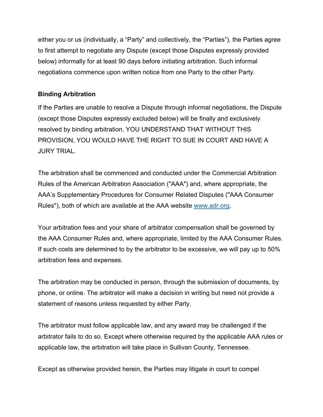either you or us (individually, a "Party" and collectively, the "Parties"), the Parties agree to first attempt to negotiate any Dispute (except those Disputes expressly provided below) informally for at least 90 days before initiating arbitration. Such informal negotiations commence upon written notice from one Party to the other Party.

#### **Binding Arbitration**

If the Parties are unable to resolve a Dispute through informal negotiations, the Dispute (except those Disputes expressly excluded below) will be finally and exclusively resolved by binding arbitration. YOU UNDERSTAND THAT WITHOUT THIS PROVISION, YOU WOULD HAVE THE RIGHT TO SUE IN COURT AND HAVE A JURY TRIAL.

The arbitration shall be commenced and conducted under the Commercial Arbitration Rules of the American Arbitration Association ("AAA") and, where appropriate, the AAA's Supplementary Procedures for Consumer Related Disputes ("AAA Consumer Rules"), both of which are available at the AAA website www.adr.org.<br>Your arbitration fees and your share of arbitrator compensation shall be governed by

the AAA Consumer Rules and, where appropriate, limited by the AAA Consumer Rules. If such costs are determined to by the arbitrator to be excessive, we will pay up to 50% arbitration fees and expenses.

The arbitration may be conducted in person, through the submission of documents, by phone, or online. The arbitrator will make a decision in writing but need not provide a statement of reasons unless requested by either Party.

The arbitrator must follow applicable law, and any award may be challenged if the arbitrator fails to do so. Except where otherwise required by the applicable AAA rules or applicable law, the arbitration will take place in Sullivan County, Tennessee.

Except as otherwise provided herein, the Parties may litigate in court to compel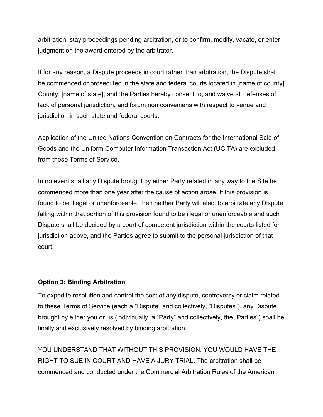arbitration, stay proceedings pending arbitration, or to confirm, modify, vacate, or enter judgment on the award entered by the arbitrator.

If for any reason, a Dispute proceeds in court rather than arbitration, the Dispute shall be commenced or prosecuted in the state and federal courts located in [name of county] County, [name of state], and the Parties hereby consent to, and waive all defenses of lack of personal jurisdiction, and forum non conveniens with respect to venue and jurisdiction in such state and federal courts.

Application of the United Nations Convention on Contracts for the International Sale of Goods and the Uniform Computer Information Transaction Act (UCITA) are excluded from these Terms of Service.

In no event shall any Dispute brought by either Party related in any way to the Site be commenced more than one year after the cause of action arose. If this provision is found to be illegal or unenforceable, then neither Party will elect to arbitrate any Dispute falling within that portion of this provision found to be illegal or unenforceable and such Dispute shall be decided by a court of competent jurisdiction within the courts listed for jurisdiction above, and the Parties agree to submit to the personal jurisdiction of that court.

#### **Option 3: Binding Arbitration**

To expedite resolution and control the cost of any dispute, controversy or claim related to these Terms of Service (each a "Dispute" and collectively, "Disputes"), any Dispute brought by either you or us (individually, a "Party" and collectively, the "Parties") shall be finally and exclusively resolved by binding arbitration.

YOU UNDERSTAND THAT WITHOUT THIS PROVISION, YOU WOULD HAVE THE RIGHT TO SUE IN COURT AND HAVE A JURY TRIAL. The arbitration shall be commenced and conducted under the Commercial Arbitration Rules of the American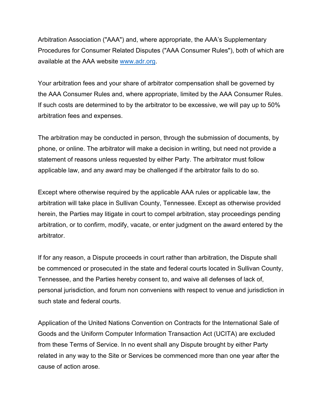Arbitration Association ("AAA") and, where appropriate, the AAA's Supplementary Procedures for Consumer Related Disputes ("AAA Consumer Rules"), both of which are available at the AAA website www.adr.org.<br>Your arbitration fees and your share of arbitrator compensation shall be governed by

the AAA Consumer Rules and, where appropriate, limited by the AAA Consumer Rules. If such costs are determined to by the arbitrator to be excessive, we will pay up to 50% arbitration fees and expenses.

The arbitration may be conducted in person, through the submission of documents, by phone, or online. The arbitrator will make a decision in writing, but need not provide a statement of reasons unless requested by either Party. The arbitrator must follow applicable law, and any award may be challenged if the arbitrator fails to do so.

Except where otherwise required by the applicable AAA rules or applicable law, the arbitration will take place in Sullivan County, Tennessee. Except as otherwise provided herein, the Parties may litigate in court to compel arbitration, stay proceedings pending arbitration, or to confirm, modify, vacate, or enter judgment on the award entered by the arbitrator.

If for any reason, a Dispute proceeds in court rather than arbitration, the Dispute shall be commenced or prosecuted in the state and federal courts located in Sullivan County, Tennessee, and the Parties hereby consent to, and waive all defenses of lack of, personal jurisdiction, and forum non conveniens with respect to venue and jurisdiction in such state and federal courts.

Application of the United Nations Convention on Contracts for the International Sale of Goods and the Uniform Computer Information Transaction Act (UCITA) are excluded from these Terms of Service. In no event shall any Dispute brought by either Party related in any way to the Site or Services be commenced more than one year after the cause of action arose.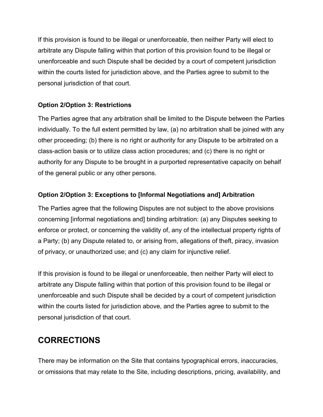If this provision is found to be illegal or unenforceable, then neither Party will elect to arbitrate any Dispute falling within that portion of this provision found to be illegal or unenforceable and such Dispute shall be decided by a court of competent jurisdiction within the courts listed for jurisdiction above, and the Parties agree to submit to the personal jurisdiction of that court.

#### **Option 2/Option 3: Restrictions**

The Parties agree that any arbitration shall be limited to the Dispute between the Parties individually. To the full extent permitted by law, (a) no arbitration shall be joined with any other proceeding; (b) there is no right or authority for any Dispute to be arbitrated on a class-action basis or to utilize class action procedures; and (c) there is no right or authority for any Dispute to be brought in a purported representative capacity on behalf of the general public or any other persons.

#### **Option 2/Option 3: Exceptions to [Informal Negotiations and] Arbitration**

The Parties agree that the following Disputes are not subject to the above provisions concerning [informal negotiations and] binding arbitration: (a) any Disputes seeking to enforce or protect, or concerning the validity of, any of the intellectual property rights of a Party; (b) any Dispute related to, or arising from, allegations of theft, piracy, invasion of privacy, or unauthorized use; and (c) any claim for injunctive relief.

If this provision is found to be illegal or unenforceable, then neither Party will elect to arbitrate any Dispute falling within that portion of this provision found to be illegal or unenforceable and such Dispute shall be decided by a court of competent jurisdiction within the courts listed for jurisdiction above, and the Parties agree to submit to the personal jurisdiction of that court.

### **CORRECTIONS**

There may be information on the Site that contains typographical errors, inaccuracies, or omissions that may relate to the Site, including descriptions, pricing, availability, and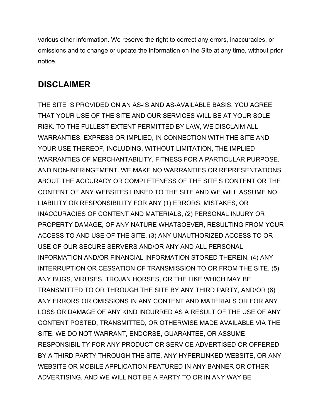various other information. We reserve the right to correct any errors, inaccuracies, or omissions and to change or update the information on the Site at any time, without prior notice.

### **DISCLAIMER**

THE SITE IS PROVIDED ON AN AS-IS AND AS-AVAILABLE BASIS. YOU AGREE THAT YOUR USE OF THE SITE AND OUR SERVICES WILL BE AT YOUR SOLE RISK. TO THE FULLEST EXTENT PERMITTED BY LAW, WE DISCLAIM ALL WARRANTIES, EXPRESS OR IMPLIED, IN CONNECTION WITH THE SITE AND YOUR USE THEREOF, INCLUDING, WITHOUT LIMITATION, THE IMPLIED WARRANTIES OF MERCHANTABILITY, FITNESS FOR A PARTICULAR PURPOSE, AND NON-INFRINGEMENT. WE MAKE NO WARRANTIES OR REPRESENTATIONS ABOUT THE ACCURACY OR COMPLETENESS OF THE SITE'S CONTENT OR THE CONTENT OF ANY WEBSITES LINKED TO THE SITE AND WE WILL ASSUME NO LIABILITY OR RESPONSIBILITY FOR ANY (1) ERRORS, MISTAKES, OR INACCURACIES OF CONTENT AND MATERIALS, (2) PERSONAL INJURY OR PROPERTY DAMAGE, OF ANY NATURE WHATSOEVER, RESULTING FROM YOUR ACCESS TO AND USE OF THE SITE, (3) ANY UNAUTHORIZED ACCESS TO OR USE OF OUR SECURE SERVERS AND/OR ANY AND ALL PERSONAL INFORMATION AND/OR FINANCIAL INFORMATION STORED THEREIN, (4) ANY INTERRUPTION OR CESSATION OF TRANSMISSION TO OR FROM THE SITE, (5) ANY BUGS, VIRUSES, TROJAN HORSES, OR THE LIKE WHICH MAY BE TRANSMITTED TO OR THROUGH THE SITE BY ANY THIRD PARTY, AND/OR (6) ANY ERRORS OR OMISSIONS IN ANY CONTENT AND MATERIALS OR FOR ANY LOSS OR DAMAGE OF ANY KIND INCURRED AS A RESULT OF THE USE OF ANY CONTENT POSTED, TRANSMITTED, OR OTHERWISE MADE AVAILABLE VIA THE SITE. WE DO NOT WARRANT, ENDORSE, GUARANTEE, OR ASSUME RESPONSIBILITY FOR ANY PRODUCT OR SERVICE ADVERTISED OR OFFERED BY A THIRD PARTY THROUGH THE SITE, ANY HYPERLINKED WEBSITE, OR ANY WEBSITE OR MOBILE APPLICATION FEATURED IN ANY BANNER OR OTHER ADVERTISING, AND WE WILL NOT BE A PARTY TO OR IN ANY WAY BE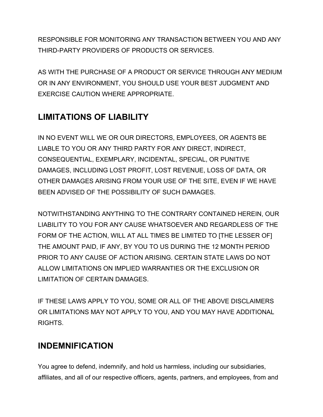RESPONSIBLE FOR MONITORING ANY TRANSACTION BETWEEN YOU AND ANY THIRD-PARTY PROVIDERS OF PRODUCTS OR SERVICES.

AS WITH THE PURCHASE OF A PRODUCT OR SERVICE THROUGH ANY MEDIUM OR IN ANY ENVIRONMENT, YOU SHOULD USE YOUR BEST JUDGMENT AND EXERCISE CAUTION WHERE APPROPRIATE.

### **LIMITATIONS OF LIABILITY**

IN NO EVENT WILL WE OR OUR DIRECTORS, EMPLOYEES, OR AGENTS BE LIABLE TO YOU OR ANY THIRD PARTY FOR ANY DIRECT, INDIRECT, CONSEQUENTIAL, EXEMPLARY, INCIDENTAL, SPECIAL, OR PUNITIVE DAMAGES, INCLUDING LOST PROFIT, LOST REVENUE, LOSS OF DATA, OR OTHER DAMAGES ARISING FROM YOUR USE OF THE SITE, EVEN IF WE HAVE BEEN ADVISED OF THE POSSIBILITY OF SUCH DAMAGES.

NOTWITHSTANDING ANYTHING TO THE CONTRARY CONTAINED HEREIN, OUR LIABILITY TO YOU FOR ANY CAUSE WHATSOEVER AND REGARDLESS OF THE FORM OF THE ACTION, WILL AT ALL TIMES BE LIMITED TO [THE LESSER OF] THE AMOUNT PAID, IF ANY, BY YOU TO US DURING THE 12 MONTH PERIOD PRIOR TO ANY CAUSE OF ACTION ARISING. CERTAIN STATE LAWS DO NOT ALLOW LIMITATIONS ON IMPLIED WARRANTIES OR THE EXCLUSION OR LIMITATION OF CERTAIN DAMAGES.

IF THESE LAWS APPLY TO YOU, SOME OR ALL OF THE ABOVE DISCLAIMERS OR LIMITATIONS MAY NOT APPLY TO YOU, AND YOU MAY HAVE ADDITIONAL RIGHTS.

### **INDEMNIFICATION**

You agree to defend, indemnify, and hold us harmless, including our subsidiaries, affiliates, and all of our respective officers, agents, partners, and employees, from and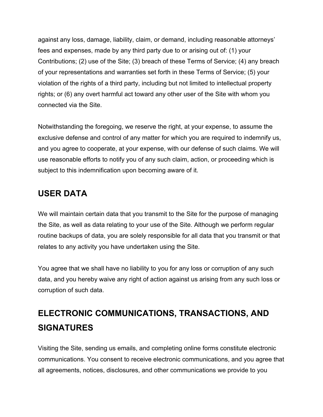against any loss, damage, liability, claim, or demand, including reasonable attorneys' fees and expenses, made by any third party due to or arising out of: (1) your Contributions; (2) use of the Site; (3) breach of these Terms of Service; (4) any breach of your representations and warranties set forth in these Terms of Service; (5) your violation of the rights of a third party, including but not limited to intellectual property rights; or (6) any overt harmful act toward any other user of the Site with whom you connected via the Site.

Notwithstanding the foregoing, we reserve the right, at your expense, to assume the exclusive defense and control of any matter for which you are required to indemnify us, and you agree to cooperate, at your expense, with our defense of such claims. We will use reasonable efforts to notify you of any such claim, action, or proceeding which is subject to this indemnification upon becoming aware of it.

#### **USER DATA**

We will maintain certain data that you transmit to the Site for the purpose of managing the Site, as well as data relating to your use of the Site. Although we perform regular routine backups of data, you are solely responsible for all data that you transmit or that relates to any activity you have undertaken using the Site.

You agree that we shall have no liability to you for any loss or corruption of any such data, and you hereby waive any right of action against us arising from any such loss or corruption of such data.

## **ELECTRONIC COMMUNICATIONS, TRANSACTIONS, AND SIGNATURES**

Visiting the Site, sending us emails, and completing online forms constitute electronic communications. You consent to receive electronic communications, and you agree that all agreements, notices, disclosures, and other communications we provide to you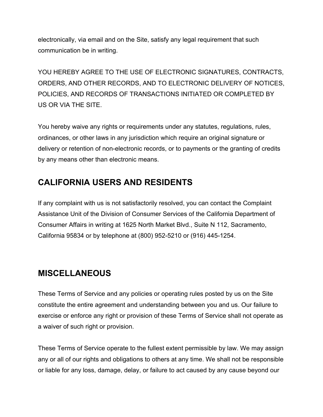electronically, via email and on the Site, satisfy any legal requirement that such communication be in writing.

YOU HEREBY AGREE TO THE USE OF ELECTRONIC SIGNATURES, CONTRACTS, ORDERS, AND OTHER RECORDS, AND TO ELECTRONIC DELIVERY OF NOTICES, POLICIES, AND RECORDS OF TRANSACTIONS INITIATED OR COMPLETED BY US OR VIA THE SITE.

You hereby waive any rights or requirements under any statutes, regulations, rules, ordinances, or other laws in any jurisdiction which require an original signature or delivery or retention of non-electronic records, or to payments or the granting of credits by any means other than electronic means.

#### **CALIFORNIA USERS AND RESIDENTS**

If any complaint with us is not satisfactorily resolved, you can contact the Complaint Assistance Unit of the Division of Consumer Services of the California Department of Consumer Affairs in writing at 1625 North Market Blvd., Suite N 112, Sacramento, California 95834 or by telephone at (800) 952-5210 or (916) 445-1254.

#### **MISCELLANEOUS**

These Terms of Service and any policies or operating rules posted by us on the Site constitute the entire agreement and understanding between you and us. Our failure to exercise or enforce any right or provision of these Terms of Service shall not operate as a waiver of such right or provision.

These Terms of Service operate to the fullest extent permissible by law. We may assign any or all of our rights and obligations to others at any time. We shall not be responsible or liable for any loss, damage, delay, or failure to act caused by any cause beyond our